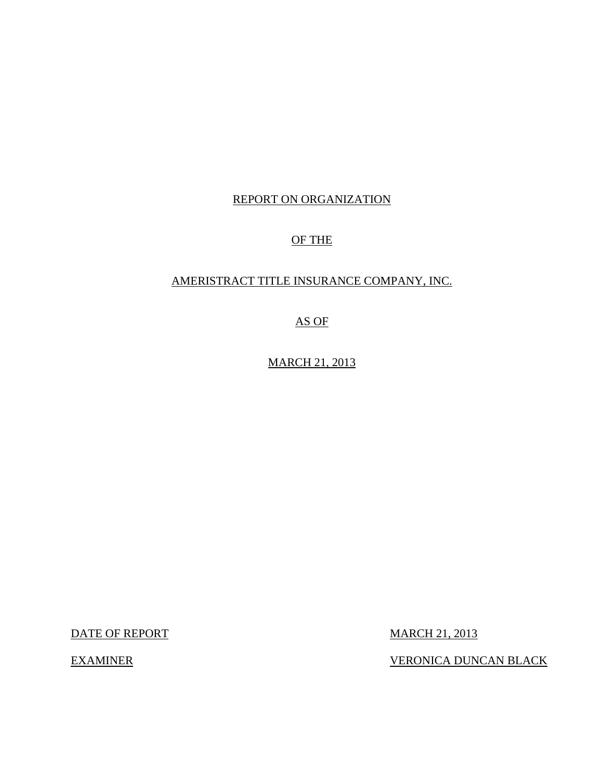## REPORT ON ORGANIZATION

## OF THE

## AMERISTRACT TITLE INSURANCE COMPANY, INC.

## AS OF

MARCH 21, 2013

DATE OF REPORT MARCH 21, 2013

EXAMINER VERONICA DUNCAN BLACK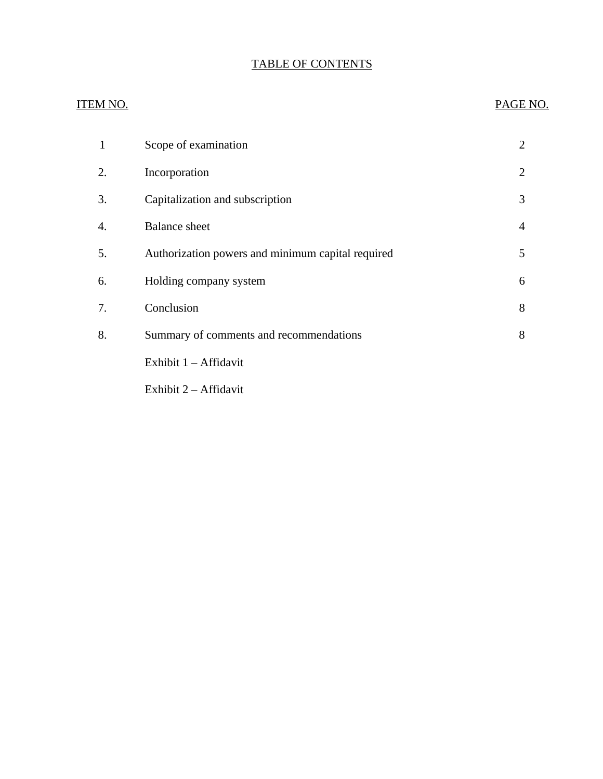## TABLE OF CONTENTS

# ITEM NO. PAGE NO. [1 Scope of examination 2](#page-3-0) [2. Incorporation 2](#page-3-0) [3. Capitalization and subscription 3](#page-4-0) 4. Balance sheet 4 [5. Authorization powers and minimum capital required 5](#page-6-0) [6. Holding company system 6](#page-7-0) [7. Conclusion 8](#page-9-0) [8. Summary of comments and recommendations 8](#page-9-0) Exhibit 1 – Affidavit Exhibit 2 – Affidavit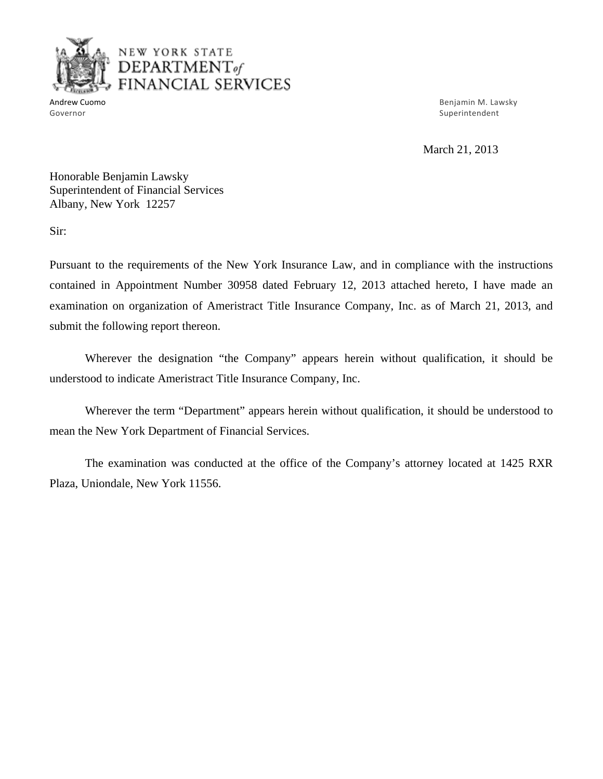

## NEW YO RK STATE DEPARTMENT *of*  FINANCIAL SERVICES

Andrew Cuomo Benjamin M. Lawsky and the control of the control of the control of the control of the control of the control of the control of the control of the control of the control of the control of the control of the co Governor Superintendent Superintendent Superintendent Superintendent Superintendent Superintendent Superintendent

March 21, 2013

Honorable Benjamin Lawsky Superintendent of Financial Services Albany, New York 12257

Sir:

Pursuant to the requirements of the New York Insurance Law, and in compliance with the instructions contained in Appointment Number 30958 dated February 12, 2013 attached hereto, I have made an examination on organization of Ameristract Title Insurance Company, Inc. as of March 21, 2013, and submit the following report thereon.

Wherever the designation "the Company" appears herein without qualification, it should be understood to indicate Ameristract Title Insurance Company, Inc.

Wherever the term "Department" appears herein without qualification, it should be understood to mean the New York Department of Financial Services.

The examination was conducted at the office of the Company's attorney located at 1425 RXR Plaza, Uniondale, New York 11556.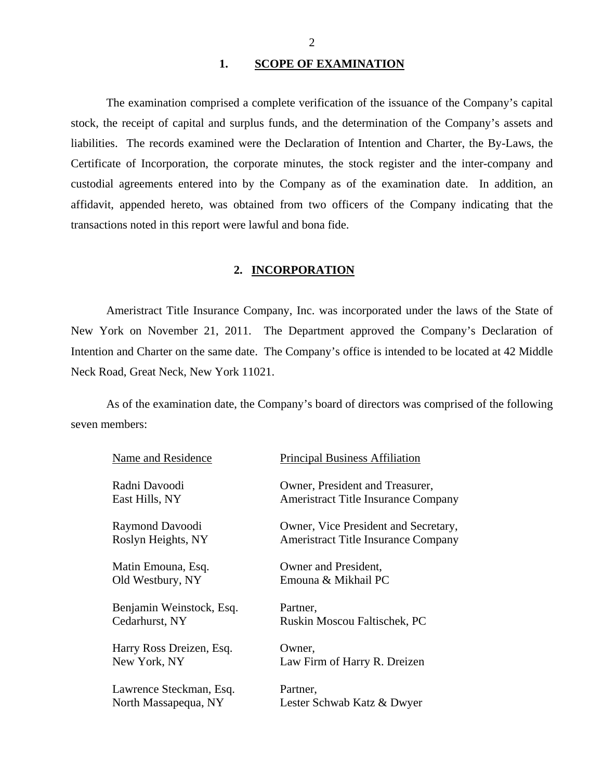#### 1. SCOPE OF EXAMINATION

<span id="page-3-0"></span>The examination comprised a complete verification of the issuance of the Company's capital stock, the receipt of capital and surplus funds, and the determination of the Company's assets and liabilities. The records examined were the Declaration of Intention and Charter, the By-Laws, the Certificate of Incorporation, the corporate minutes, the stock register and the inter-company and custodial agreements entered into by the Company as of the examination date. In addition, an affidavit, appended hereto, was obtained from two officers of the Company indicating that the transactions noted in this report were lawful and bona fide.

#### **2. INCORPORATION**

Ameristract Title Insurance Company, Inc. was incorporated under the laws of the State of New York on November 21, 2011. The Department approved the Company's Declaration of Intention and Charter on the same date. The Company's office is intended to be located at 42 Middle Neck Road, Great Neck, New York 11021.

As of the examination date, the Company's board of directors was comprised of the following seven members:

| Name and Residence       | <b>Principal Business Affiliation</b>      |
|--------------------------|--------------------------------------------|
| Radni Davoodi            | Owner, President and Treasurer,            |
| East Hills, NY           | Ameristract Title Insurance Company        |
| Raymond Davoodi          | Owner, Vice President and Secretary,       |
| Roslyn Heights, NY       | <b>Ameristract Title Insurance Company</b> |
| Matin Emouna, Esq.       | Owner and President,                       |
| Old Westbury, NY         | Emouna & Mikhail PC                        |
| Benjamin Weinstock, Esq. | Partner,                                   |
| Cedarhurst, NY           | Ruskin Moscou Faltischek, PC               |
| Harry Ross Dreizen, Esq. | Owner,                                     |
| New York, NY             | Law Firm of Harry R. Dreizen               |
| Lawrence Steckman, Esq.  | Partner,                                   |
| North Massapequa, NY     | Lester Schwab Katz & Dwyer                 |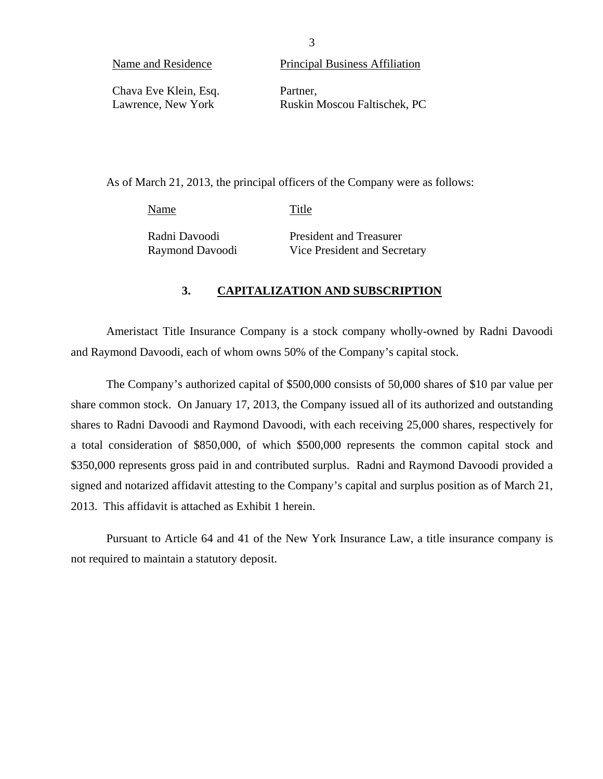<span id="page-4-0"></span>

| Name and Residence    | Principal Business Affiliation |
|-----------------------|--------------------------------|
| Chava Eve Klein, Esq. | Partner.                       |
| Lawrence, New York    | Ruskin Moscou Faltischek, PC   |

As of March 21, 2013, the principal officers of the Company were as follows:

Name Title

Radni Davoodi President and Treasurer Raymond Davoodi Vice President and Secretary

### **3. CAPITALIZATION AND SUBSCRIPTION**

Ameristact Title Insurance Company is a stock company wholly-owned by Radni Davoodi and Raymond Davoodi, each of whom owns 50% of the Company's capital stock.

The Company's authorized capital of \$500,000 consists of 50,000 shares of \$10 par value per share common stock. On January 17, 2013, the Company issued all of its authorized and outstanding shares to Radni Davoodi and Raymond Davoodi, with each receiving 25,000 shares, respectively for a total consideration of \$850,000, of which \$500,000 represents the common capital stock and \$350,000 represents gross paid in and contributed surplus. Radni and Raymond Davoodi provided a signed and notarized affidavit attesting to the Company's capital and surplus position as of March 21, 2013. This affidavit is attached as Exhibit 1 herein.

Pursuant to Article 64 and 41 of the New York Insurance Law, a title insurance company is not required to maintain a statutory deposit.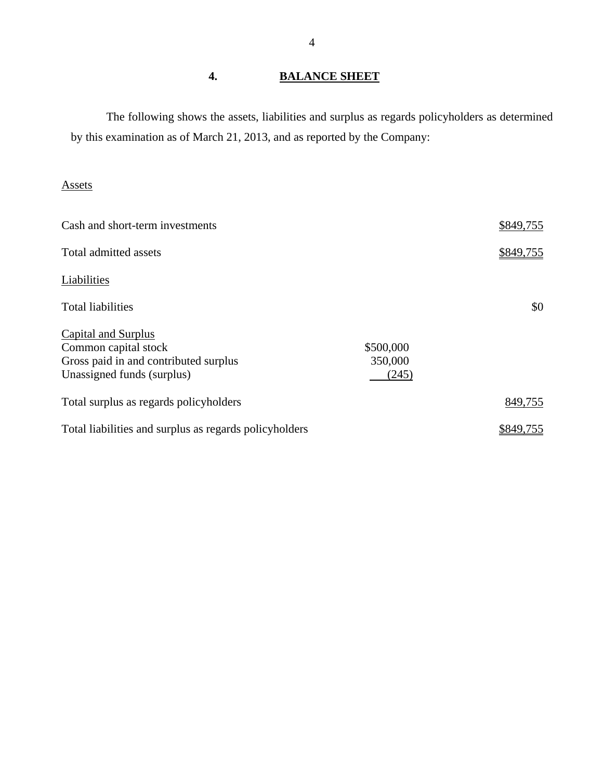## **4. BALANCE SHEET**

The following shows the assets, liabilities and surplus as regards policyholders as determined by this examination as of March 21, 2013, and as reported by the Company:

## Assets

| Cash and short-term investments                                                                                           |                               | \$849,755 |
|---------------------------------------------------------------------------------------------------------------------------|-------------------------------|-----------|
| Total admitted assets                                                                                                     |                               | \$849,755 |
| Liabilities                                                                                                               |                               |           |
| <b>Total liabilities</b>                                                                                                  |                               | \$0       |
| <b>Capital and Surplus</b><br>Common capital stock<br>Gross paid in and contributed surplus<br>Unassigned funds (surplus) | \$500,000<br>350,000<br>(245) |           |
| Total surplus as regards policyholders                                                                                    |                               | 849,755   |
| Total liabilities and surplus as regards policyholders                                                                    |                               | \$849,755 |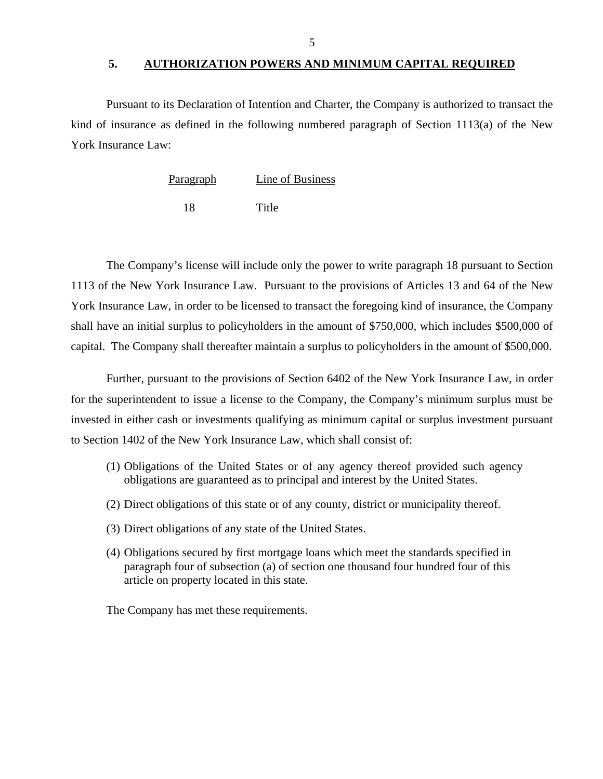#### **5. AUTHORIZATION POWERS AND MINIMUM CAPITAL REQUIRED**

<span id="page-6-0"></span>Pursuant to its Declaration of Intention and Charter, the Company is authorized to transact the kind of insurance as defined in the following numbered paragraph of Section 1113(a) of the New York Insurance Law:

| Paragraph | Line of Business |
|-----------|------------------|
|           |                  |

18 Title

The Company's license will include only the power to write paragraph 18 pursuant to Section 1113 of the New York Insurance Law. Pursuant to the provisions of Articles 13 and 64 of the New York Insurance Law, in order to be licensed to transact the foregoing kind of insurance, the Company shall have an initial surplus to policyholders in the amount of \$750,000, which includes \$500,000 of capital. The Company shall thereafter maintain a surplus to policyholders in the amount of \$500,000.

Further, pursuant to the provisions of Section 6402 of the New York Insurance Law, in order for the superintendent to issue a license to the Company, the Company's minimum surplus must be invested in either cash or investments qualifying as minimum capital or surplus investment pursuant to Section 1402 of the New York Insurance Law, which shall consist of:

- (1) Obligations of the United States or of any agency thereof provided such agency obligations are guaranteed as to principal and interest by the United States.
- (2) Direct obligations of this state or of any county, district or municipality thereof.
- (3) Direct obligations of any state of the United States.
- (4) Obligations secured by first mortgage loans which meet the standards specified in paragraph four of subsection (a) of section one thousand four hundred four of this article on property located in this state.

The Company has met these requirements.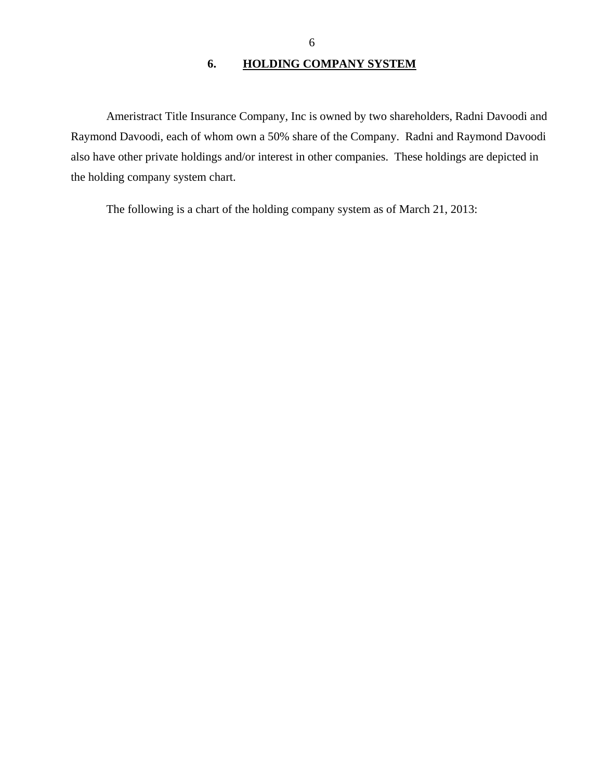## **6. HOLDING COMPANY SYSTEM**

<span id="page-7-0"></span>Ameristract Title Insurance Company, Inc is owned by two shareholders, Radni Davoodi and Raymond Davoodi, each of whom own a 50% share of the Company. Radni and Raymond Davoodi also have other private holdings and/or interest in other companies. These holdings are depicted in the holding company system chart.

The following is a chart of the holding company system as of March 21, 2013: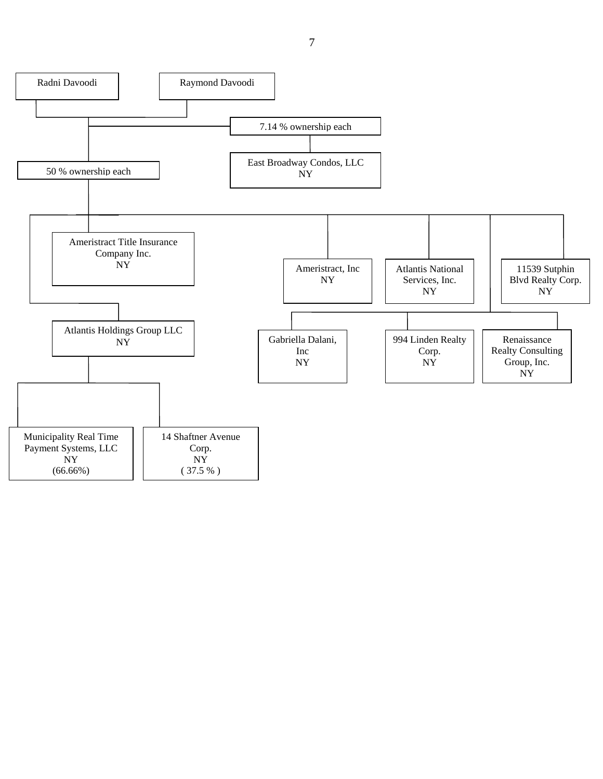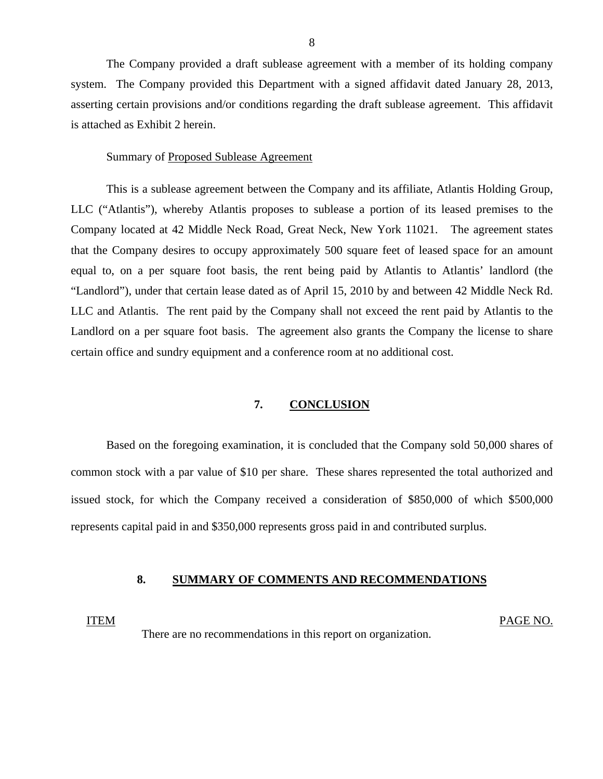<span id="page-9-0"></span>The Company provided a draft sublease agreement with a member of its holding company system. The Company provided this Department with a signed affidavit dated January 28, 2013, asserting certain provisions and/or conditions regarding the draft sublease agreement. This affidavit is attached as Exhibit 2 herein.

#### Summary of Proposed Sublease Agreement

This is a sublease agreement between the Company and its affiliate, Atlantis Holding Group, LLC ("Atlantis"), whereby Atlantis proposes to sublease a portion of its leased premises to the Company located at 42 Middle Neck Road, Great Neck, New York 11021. The agreement states that the Company desires to occupy approximately 500 square feet of leased space for an amount equal to, on a per square foot basis, the rent being paid by Atlantis to Atlantis' landlord (the "Landlord"), under that certain lease dated as of April 15, 2010 by and between 42 Middle Neck Rd. LLC and Atlantis. The rent paid by the Company shall not exceed the rent paid by Atlantis to the Landlord on a per square foot basis. The agreement also grants the Company the license to share certain office and sundry equipment and a conference room at no additional cost.

#### **7. CONCLUSION**

Based on the foregoing examination, it is concluded that the Company sold 50,000 shares of common stock with a par value of \$10 per share. These shares represented the total authorized and issued stock, for which the Company received a consideration of \$850,000 of which \$500,000 represents capital paid in and \$350,000 represents gross paid in and contributed surplus.

#### **8. SUMMARY OF COMMENTS AND RECOMMENDATIONS**

#### ITEM PAGE NO.

There are no recommendations in this report on organization.

8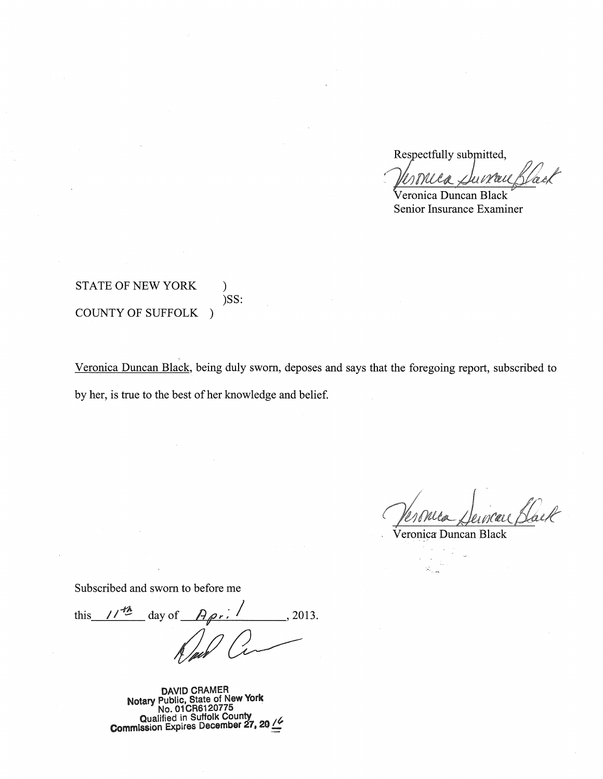Respectfully submitted,

Veronica Duncan Black Senior Insurance Examiner

### STATE OF NEW YORK ) )SS: COUNTY OF SUFFOLK )

Veronica Duncan Black, being duly sworn, deposes and says that the foregoing report, subscribed to by her, is true to the best of her knowledge and belief.

Veronce Derneur Black

Veronica Duncan Black

Subscribed and sworn to before me

this  $1/\sqrt{2}$  day of  $A_{\rho r}$ .  $/$ , 2013.

**DAVID CRAMER Notary Public, State of New York No. 01 CR6120775**  Qualified in Suffolk County<br>**Commission Expires December 27, 20**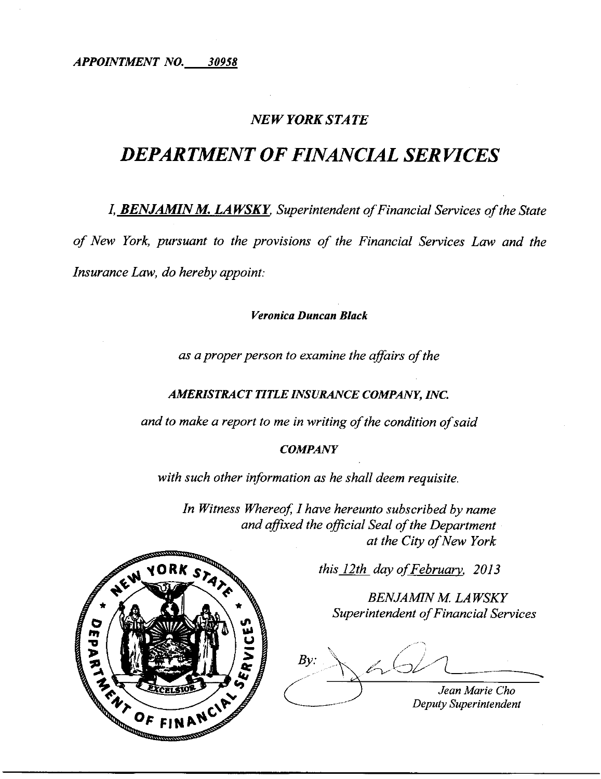*APPOINTMENT NO. 30958* 

## *NEW YORK STATE*

## *DEPARTMENT OF FINANCIAL SERVICES*

**I, BENJAMIN M. LAWSKY**, Superintendent of Financial Services of the State *of New York, pursuant to the provisions of the Financial Services Law and the Insurance Law, do hereby appoint:* 

*Veronica Duncan Black* 

*as a proper person to examine the affairs of the* 

#### *AMERISTRACT TITLE INSURANCE COMPANY, INC.*

*and to make a report to me in writing of the condition of said* 

#### *COMPANY*

*with such other information as he shall deem requisite.* 

*In Witness Whereof, I have hereunto subscribed by name and affixed the official Seal of the Department at the City ofNew York* 

*this 12th dayofFebruary, 2013* 

**BENJAMIN M. LAWSKY Superintendent of Financial Services** 

 $601$  $\diagup$  $By:$ *Jean Marie Cho* 

*Deputy Superintendent* 

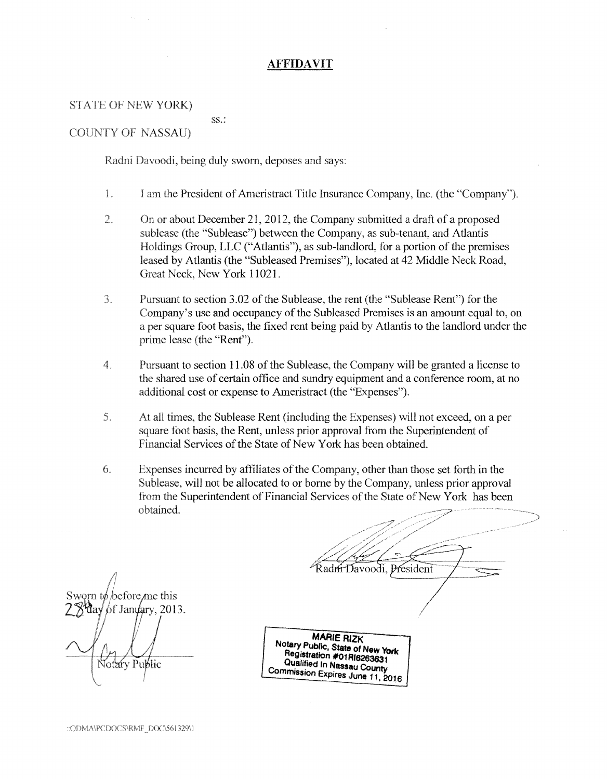#### **AFFIDAVIT**

#### STATE OF NEW YORK)

COUNTY OF NASSAU)

Radni Davoodi, being duly sworn, deposes and says:

ss.:

- l. I am the President ofAmeristract Title Insurance Company, Inc. (the "Company").
- 2. On or about December 21, 2012, the Company submitted a draft of a proposed sublease (the "Sublease") between the Company, as sub-tenant, and Atlantis Holdings Group, LLC ("Atlantis"), as sub-landlord, for a portion of the premises leased by Atlantis (the "Subleased Premises"), located at 42 Middle Neck Road, Great Neck, New York 11021.
- 3. Pursuant to section 3.02 of the Sublease, the rent (the "Sublease Rent") for the Company's use and occupancy of the Subleased Premises is an amount equal to, on a per square foot basis, the fixed rent being paid by Atlantis to the landlord under the prime lease (the "Rent").
- 4. Pursuant to section 11.08 of the Sublease, the Company will be granted a license to the shared use of certain office and sundry equipment and a conference room, at no additional cost or expense to Ameristract (the "Expenses").
- 5. At all times, the Sublease Rent (including the Expenses) will not exceed, on a per square foot basis, the Rent, unless prior approval from the Superintendent of Financial Services of the State of New York has been obtained.
- 6. Expenses incurred by affiliates of the Company, other than those set forth in the Sublease, will not be allocated to or borne by the Company, unless prior approval from the Superintendent of Financial Services of the State of New York has been obtained.

before *me* this Janyary, 2013. Notary Public

**MARIE RIZK Notary Public, State of New York Registration #01RI6263631 Qualified In Nassau County Commission Expires June 11, 2016** 

Radm Davoodi, President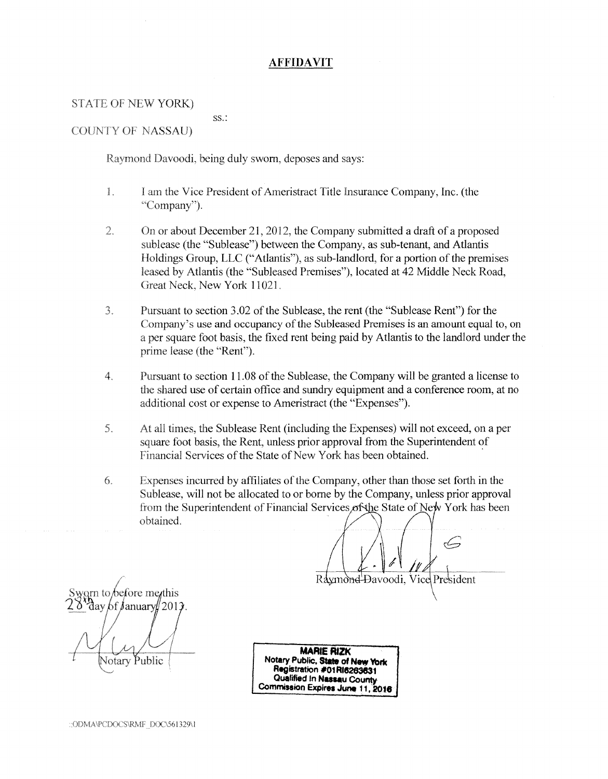#### **AFFIDAVIT**

#### STATE OF NEW YORK)

ss.:

#### COUNTY OF NASSAU)

Raymond Davoodi, being duly sworn, deposes and says:

- 1. I am the Vice President of Ameristract Title Insurance Company, Inc. (the "Company"}.
- 2. On or about December 21, 2012, the Company submitted a draft of a proposed sublease (the "Sublease") between the Company, as sub-tenant, and Atlantis Holdings Group, LLC ("Atlantis"), as sub-landlord, for a portion of the premises leased by Atlantis (the "Subleased Premises"), located at 42 Middle Neck Road, Great Neck, New York 11021.
- 3. Pursuant to section 3.02 of the Sublease, the rent (the "Sublease Rent") for the Company's use and occupancy of the Subleased Premises is an amount equal to, on a per square foot basis, the fixed rent being paid by Atlantis to the landlord under the prime lease (the "Rent").
- 4. Pursuant to section l 1.08 of the Sublease, the Company will be granted a license to the shared use of certain office and sundry equipment and a conference room, at no additional cost or expense to Ameristract (the "Expenses").
- 5. At all times, the Sublease Rent (including the Expenses) will not exceed, on a per square foot basis, the Rent, unless prior approval from the Superintendent of Financial Services of the State of New York has been obtained.
- 6. Expenses incurred by affiliates ofthe Company, other than those set forth in the Sublease, will not be allocated to or borne by the Company, unless prior approval from the Superintendent of Financial Services of the State of New York has been obtained.

arn to before me*i*this day 6f January∥ 2013. **Votary Public** 

**MARIE RIZK Notary Public, State of New York Registration #01 Rt8263831 Qualified In Nassau County Commission Expires June 11, 2016** 

Raymond

وكسم

Đavoodi, Vice President